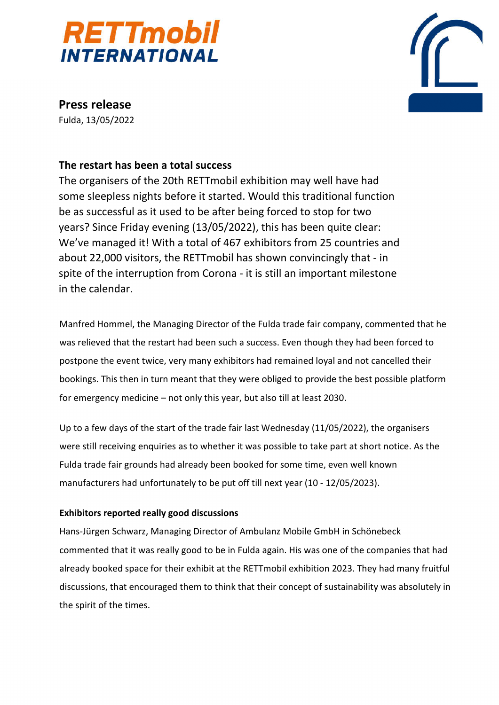



**Press release** Fulda, 13/05/2022

## **The restart has been a total success**

The organisers of the 20th RETTmobil exhibition may well have had some sleepless nights before it started. Would this traditional function be as successful as it used to be after being forced to stop for two years? Since Friday evening (13/05/2022), this has been quite clear: We've managed it! With a total of 467 exhibitors from 25 countries and about 22,000 visitors, the RETTmobil has shown convincingly that - in spite of the interruption from Corona - it is still an important milestone in the calendar.

Manfred Hommel, the Managing Director of the Fulda trade fair company, commented that he was relieved that the restart had been such a success. Even though they had been forced to postpone the event twice, very many exhibitors had remained loyal and not cancelled their bookings. This then in turn meant that they were obliged to provide the best possible platform for emergency medicine – not only this year, but also till at least 2030.

Up to a few days of the start of the trade fair last Wednesday (11/05/2022), the organisers were still receiving enquiries as to whether it was possible to take part at short notice. As the Fulda trade fair grounds had already been booked for some time, even well known manufacturers had unfortunately to be put off till next year (10 - 12/05/2023).

### **Exhibitors reported really good discussions**

Hans-Jürgen Schwarz, Managing Director of Ambulanz Mobile GmbH in Schönebeck commented that it was really good to be in Fulda again. His was one of the companies that had already booked space for their exhibit at the RETTmobil exhibition 2023. They had many fruitful discussions, that encouraged them to think that their concept of sustainability was absolutely in the spirit of the times.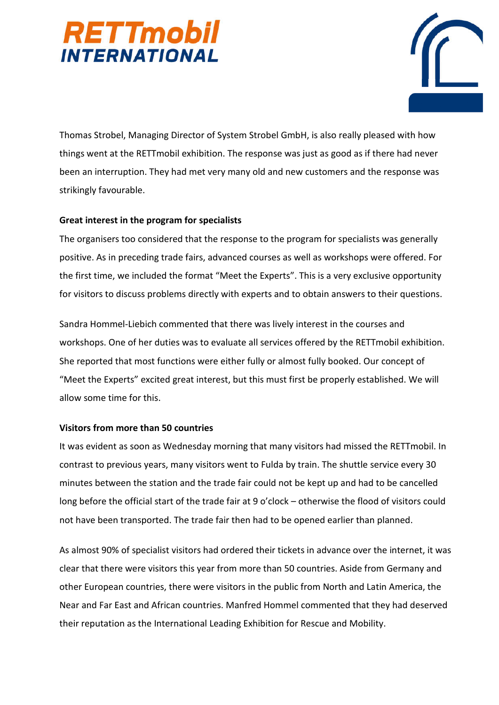



Thomas Strobel, Managing Director of System Strobel GmbH, is also really pleased with how things went at the RETTmobil exhibition. The response was just as good as if there had never been an interruption. They had met very many old and new customers and the response was strikingly favourable.

#### **Great interest in the program for specialists**

The organisers too considered that the response to the program for specialists was generally positive. As in preceding trade fairs, advanced courses as well as workshops were offered. For the first time, we included the format "Meet the Experts". This is a very exclusive opportunity for visitors to discuss problems directly with experts and to obtain answers to their questions.

Sandra Hommel-Liebich commented that there was lively interest in the courses and workshops. One of her duties was to evaluate all services offered by the RETTmobil exhibition. She reported that most functions were either fully or almost fully booked. Our concept of "Meet the Experts" excited great interest, but this must first be properly established. We will allow some time for this.

### **Visitors from more than 50 countries**

It was evident as soon as Wednesday morning that many visitors had missed the RETTmobil. In contrast to previous years, many visitors went to Fulda by train. The shuttle service every 30 minutes between the station and the trade fair could not be kept up and had to be cancelled long before the official start of the trade fair at 9 o'clock – otherwise the flood of visitors could not have been transported. The trade fair then had to be opened earlier than planned.

As almost 90% of specialist visitors had ordered their tickets in advance over the internet, it was clear that there were visitors this year from more than 50 countries. Aside from Germany and other European countries, there were visitors in the public from North and Latin America, the Near and Far East and African countries. Manfred Hommel commented that they had deserved their reputation as the International Leading Exhibition for Rescue and Mobility.